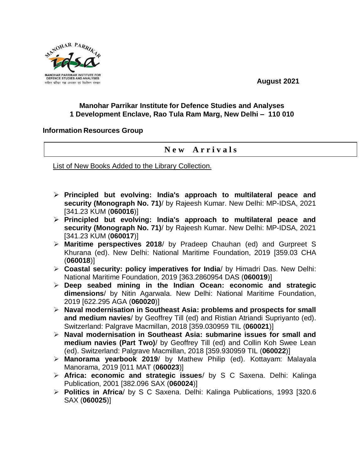

**August 2021**

## **Manohar Parrikar Institute for Defence Studies and Analyses 1 Development Enclave, Rao Tula Ram Marg, New Delhi – 110 010**

## **Information Resources Group**

## **N e w A r r i v a l s**

List of New Books Added to the Library Collection.

- **Principled but evolving: India's approach to multilateral peace and security (Monograph No. 71)**/ by Rajeesh Kumar. New Delhi: MP-IDSA, 2021 [341.23 KUM (**060016**)]
- **Principled but evolving: India's approach to multilateral peace and security (Monograph No. 71)**/ by Rajeesh Kumar. New Delhi: MP-IDSA, 2021 [341.23 KUM (**060017**)]
- **Maritime perspectives 2018**/ by Pradeep Chauhan (ed) and Gurpreet S Khurana (ed). New Delhi: National Maritime Foundation, 2019 [359.03 CHA (**060018**)]
- **Coastal security: policy imperatives for India**/ by Himadri Das. New Delhi: National Maritime Foundation, 2019 [363.2860954 DAS (**060019**)]
- **Deep seabed mining in the Indian Ocean: economic and strategic dimensions**/ by Nitin Agarwala. New Delhi: National Maritime Foundation, 2019 [622.295 AGA (**060020**)]
- **Naval modernisation in Southeast Asia: problems and prospects for small and medium navies**/ by Geoffrey Till (ed) and Ristian Atriandi Supriyanto (ed). Switzerland: Palgrave Macmillan, 2018 [359.030959 TIL (**060021**)]
- **Naval modernisation in Southeast Asia: submarine issues for small and medium navies (Part Two)**/ by Geoffrey Till (ed) and Collin Koh Swee Lean (ed). Switzerland: Palgrave Macmillan, 2018 [359.930959 TIL (**060022**)]
- **Manorama yearbook 2019**/ by Mathew Philip (ed). Kottayam: Malayala Manorama, 2019 [011 MAT (**060023**)]
- **Africa: economic and strategic issues**/ by S C Saxena. Delhi: Kalinga Publication, 2001 [382.096 SAX (**060024**)]
- **Politics in Africa**/ by S C Saxena. Delhi: Kalinga Publications, 1993 [320.6 SAX (**060025**)]